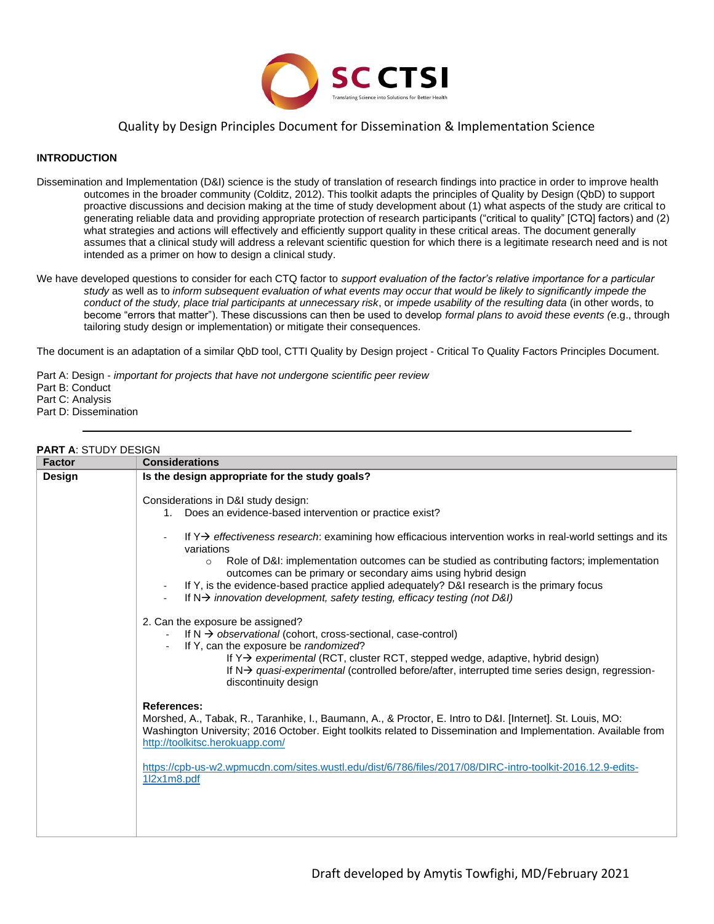

### Quality by Design Principles Document for Dissemination & Implementation Science

### **INTRODUCTION**

- Dissemination and Implementation (D&I) science is the study of translation of research findings into practice in order to improve health outcomes in the broader community (Colditz, 2012). This toolkit adapts the principles of Quality by Design (QbD) to support proactive discussions and decision making at the time of study development about (1) what aspects of the study are critical to generating reliable data and providing appropriate protection of research participants ("critical to quality" [CTQ] factors) and (2) what strategies and actions will effectively and efficiently support quality in these critical areas. The document generally assumes that a clinical study will address a relevant scientific question for which there is a legitimate research need and is not intended as a primer on how to design a clinical study.
- We have developed questions to consider for each CTQ factor to *support evaluation of the factor's relative importance for a particular study* as well as to *inform subsequent evaluation of what events may occur that would be likely to significantly impede the conduct of the study, place trial participants at unnecessary risk*, or *impede usability of the resulting data* (in other words, to become "errors that matter"). These discussions can then be used to develop *formal plans to avoid these events (*e.g., through tailoring study design or implementation) or mitigate their consequences.

The document is an adaptation of a similar QbD tool, CTTI Quality by Design project - Critical To Quality Factors Principles Document.

Part A: Design - *important for projects that have not undergone scientific peer review* Part B: Conduct Part C: Analysis Part D: Dissemination

### **PART A**: STUDY DESIGN

| <b>Factor</b> | <b>Considerations</b>                                                                                                                                                                                                                                                                                                                                                                                                  |  |
|---------------|------------------------------------------------------------------------------------------------------------------------------------------------------------------------------------------------------------------------------------------------------------------------------------------------------------------------------------------------------------------------------------------------------------------------|--|
| Design        | Is the design appropriate for the study goals?                                                                                                                                                                                                                                                                                                                                                                         |  |
|               | Considerations in D&I study design:<br>1. Does an evidence-based intervention or practice exist?                                                                                                                                                                                                                                                                                                                       |  |
|               | If $Y\rightarrow$ effectiveness research: examining how efficacious intervention works in real-world settings and its<br>$\sim$<br>variations<br>Role of D&I: implementation outcomes can be studied as contributing factors; implementation<br>$\circ$<br>outcomes can be primary or secondary aims using hybrid design<br>If Y, is the evidence-based practice applied adequately? D&I research is the primary focus |  |
|               | If $N \rightarrow$ innovation development, safety testing, efficacy testing (not D&I)<br>$\blacksquare$                                                                                                                                                                                                                                                                                                                |  |
|               | 2. Can the exposure be assigned?<br>If $N \rightarrow$ observational (cohort, cross-sectional, case-control)<br>If Y, can the exposure be randomized?<br>If Y > experimental (RCT, cluster RCT, stepped wedge, adaptive, hybrid design)<br>If $N\rightarrow$ quasi-experimental (controlled before/after, interrupted time series design, regression-<br>discontinuity design                                          |  |
|               | <b>References:</b><br>Morshed, A., Tabak, R., Taranhike, I., Baumann, A., & Proctor, E. Intro to D&I. [Internet]. St. Louis, MO:<br>Washington University; 2016 October. Eight toolkits related to Dissemination and Implementation. Available from<br>http://toolkitsc.herokuapp.com/                                                                                                                                 |  |
|               | https://cpb-us-w2.wpmucdn.com/sites.wustl.edu/dist/6/786/files/2017/08/DIRC-intro-toolkit-2016.12.9-edits-<br>1l2x1m8.pdf                                                                                                                                                                                                                                                                                              |  |
|               |                                                                                                                                                                                                                                                                                                                                                                                                                        |  |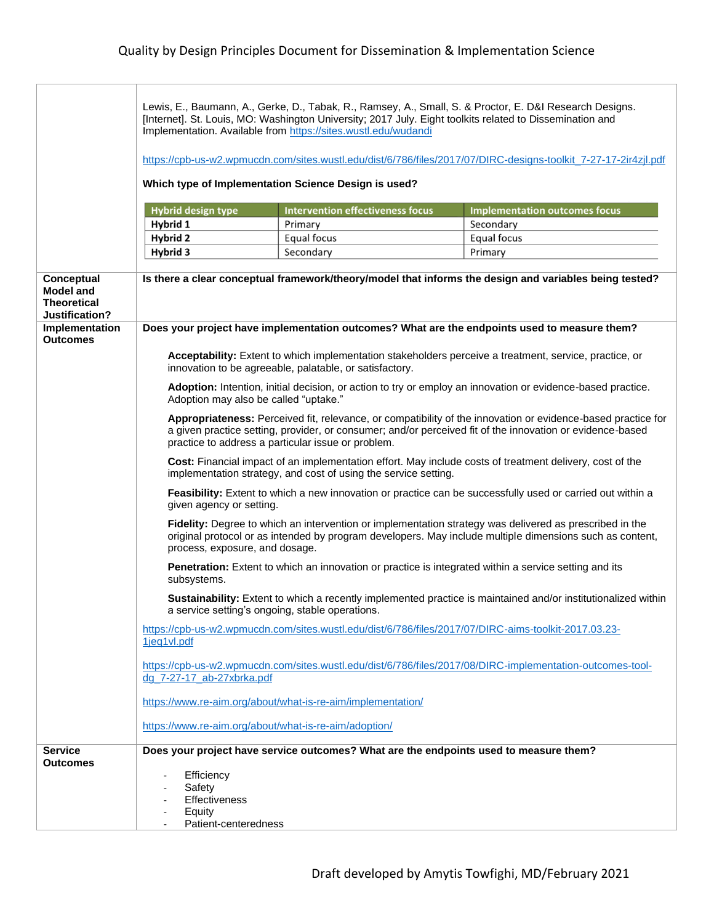|                                                                        | Lewis, E., Baumann, A., Gerke, D., Tabak, R., Ramsey, A., Small, S. & Proctor, E. D&I Research Designs.<br>[Internet]. St. Louis, MO: Washington University; 2017 July. Eight toolkits related to Dissemination and<br>Implementation. Available from https://sites.wustl.edu/wudandi |                                                             |                                                                                                               |  |
|------------------------------------------------------------------------|---------------------------------------------------------------------------------------------------------------------------------------------------------------------------------------------------------------------------------------------------------------------------------------|-------------------------------------------------------------|---------------------------------------------------------------------------------------------------------------|--|
|                                                                        | https://cpb-us-w2.wpmucdn.com/sites.wustl.edu/dist/6/786/files/2017/07/DIRC-designs-toolkit_7-27-17-2ir4zjl.pdf                                                                                                                                                                       |                                                             |                                                                                                               |  |
|                                                                        | Which type of Implementation Science Design is used?                                                                                                                                                                                                                                  |                                                             |                                                                                                               |  |
| <b>Intervention effectiveness focus</b><br><b>Hybrid design type</b>   |                                                                                                                                                                                                                                                                                       | <b>Implementation outcomes focus</b>                        |                                                                                                               |  |
|                                                                        | Hybrid 1                                                                                                                                                                                                                                                                              | Primary                                                     | Secondary                                                                                                     |  |
|                                                                        | Hybrid 2                                                                                                                                                                                                                                                                              | Equal focus                                                 | Equal focus                                                                                                   |  |
|                                                                        | Hybrid 3                                                                                                                                                                                                                                                                              | Secondary                                                   | Primary                                                                                                       |  |
| Conceptual<br><b>Model and</b><br><b>Theoretical</b><br>Justification? | Is there a clear conceptual framework/theory/model that informs the design and variables being tested?<br>Does your project have implementation outcomes? What are the endpoints used to measure them?                                                                                |                                                             |                                                                                                               |  |
| Implementation<br><b>Outcomes</b>                                      |                                                                                                                                                                                                                                                                                       |                                                             |                                                                                                               |  |
|                                                                        | Acceptability: Extent to which implementation stakeholders perceive a treatment, service, practice, or<br>innovation to be agreeable, palatable, or satisfactory.                                                                                                                     |                                                             |                                                                                                               |  |
|                                                                        | Adoption: Intention, initial decision, or action to try or employ an innovation or evidence-based practice.<br>Adoption may also be called "uptake."                                                                                                                                  |                                                             |                                                                                                               |  |
|                                                                        | Appropriateness: Perceived fit, relevance, or compatibility of the innovation or evidence-based practice for<br>a given practice setting, provider, or consumer; and/or perceived fit of the innovation or evidence-based<br>practice to address a particular issue or problem.       |                                                             |                                                                                                               |  |
|                                                                        | Cost: Financial impact of an implementation effort. May include costs of treatment delivery, cost of the<br>implementation strategy, and cost of using the service setting.                                                                                                           |                                                             |                                                                                                               |  |
|                                                                        | Feasibility: Extent to which a new innovation or practice can be successfully used or carried out within a<br>given agency or setting.                                                                                                                                                |                                                             |                                                                                                               |  |
|                                                                        | Fidelity: Degree to which an intervention or implementation strategy was delivered as prescribed in the<br>original protocol or as intended by program developers. May include multiple dimensions such as content,<br>process, exposure, and dosage.                                 |                                                             |                                                                                                               |  |
|                                                                        | Penetration: Extent to which an innovation or practice is integrated within a service setting and its<br>subsystems.                                                                                                                                                                  |                                                             |                                                                                                               |  |
|                                                                        |                                                                                                                                                                                                                                                                                       | a service setting's ongoing, stable operations.             | Sustainability: Extent to which a recently implemented practice is maintained and/or institutionalized within |  |
|                                                                        | 1jeq1vl.pdf                                                                                                                                                                                                                                                                           |                                                             | https://cpb-us-w2.wpmucdn.com/sites.wustl.edu/dist/6/786/files/2017/07/DIRC-aims-toolkit-2017.03.23-          |  |
|                                                                        | dg 7-27-17 ab-27xbrka.pdf                                                                                                                                                                                                                                                             |                                                             | https://cpb-us-w2.wpmucdn.com/sites.wustl.edu/dist/6/786/files/2017/08/DIRC-implementation-outcomes-tool-     |  |
|                                                                        |                                                                                                                                                                                                                                                                                       | https://www.re-aim.org/about/what-is-re-aim/implementation/ |                                                                                                               |  |
|                                                                        |                                                                                                                                                                                                                                                                                       | https://www.re-aim.org/about/what-is-re-aim/adoption/       |                                                                                                               |  |
| Service                                                                |                                                                                                                                                                                                                                                                                       |                                                             | Does your project have service outcomes? What are the endpoints used to measure them?                         |  |
| <b>Outcomes</b>                                                        | Efficiency<br>Safety<br><b>Effectiveness</b><br>Equity<br>Patient-centeredness                                                                                                                                                                                                        |                                                             |                                                                                                               |  |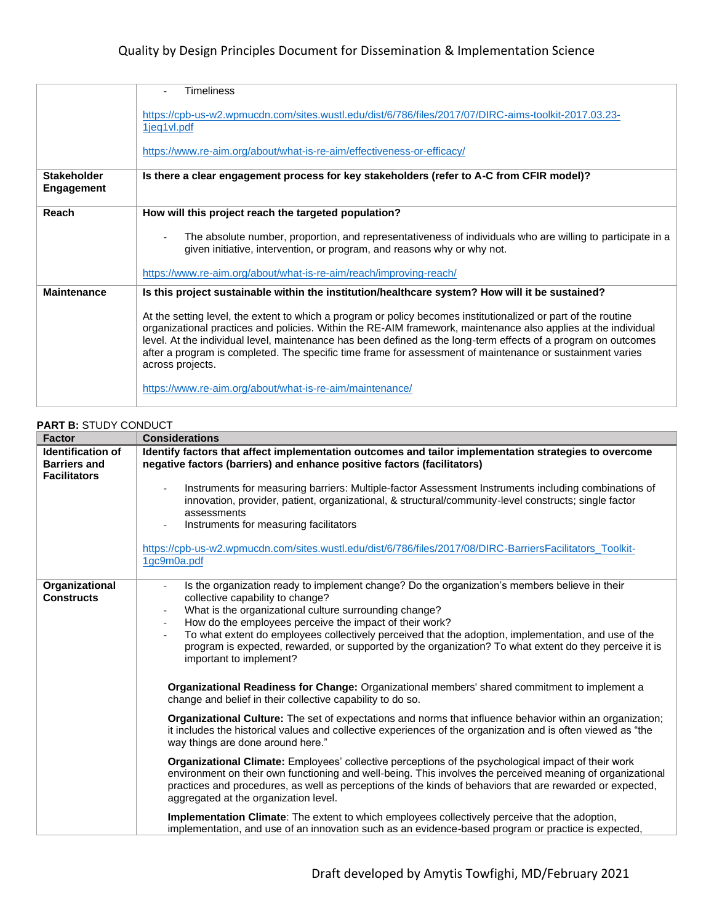|                                         | <b>Timeliness</b>                                                                                                                                                                                                                                                                                                                                                                                                                                                                   |
|-----------------------------------------|-------------------------------------------------------------------------------------------------------------------------------------------------------------------------------------------------------------------------------------------------------------------------------------------------------------------------------------------------------------------------------------------------------------------------------------------------------------------------------------|
|                                         | https://cpb-us-w2.wpmucdn.com/sites.wustl.edu/dist/6/786/files/2017/07/DIRC-aims-toolkit-2017.03.23-<br>1jeg1vl.pdf                                                                                                                                                                                                                                                                                                                                                                 |
|                                         | https://www.re-aim.org/about/what-is-re-aim/effectiveness-or-efficacy/                                                                                                                                                                                                                                                                                                                                                                                                              |
| <b>Stakeholder</b><br><b>Engagement</b> | Is there a clear engagement process for key stakeholders (refer to A-C from CFIR model)?                                                                                                                                                                                                                                                                                                                                                                                            |
| Reach                                   | How will this project reach the targeted population?                                                                                                                                                                                                                                                                                                                                                                                                                                |
|                                         | The absolute number, proportion, and representativeness of individuals who are willing to participate in a<br>given initiative, intervention, or program, and reasons why or why not.                                                                                                                                                                                                                                                                                               |
|                                         | https://www.re-aim.org/about/what-is-re-aim/reach/improving-reach/                                                                                                                                                                                                                                                                                                                                                                                                                  |
| <b>Maintenance</b>                      | Is this project sustainable within the institution/healthcare system? How will it be sustained?                                                                                                                                                                                                                                                                                                                                                                                     |
|                                         | At the setting level, the extent to which a program or policy becomes institutionalized or part of the routine<br>organizational practices and policies. Within the RE-AIM framework, maintenance also applies at the individual<br>level. At the individual level, maintenance has been defined as the long-term effects of a program on outcomes<br>after a program is completed. The specific time frame for assessment of maintenance or sustainment varies<br>across projects. |
|                                         | https://www.re-aim.org/about/what-is-re-aim/maintenance/                                                                                                                                                                                                                                                                                                                                                                                                                            |

### **PART B:** STUDY CONDUCT **Factor Considerations Identification of Barriers and Facilitators Identify factors that affect implementation outcomes and tailor implementation strategies to overcome negative factors (barriers) and enhance positive factors (facilitators)**  Instruments for measuring barriers: Multiple-factor Assessment Instruments including combinations of innovation, provider, patient, organizational, & structural/community-level constructs; single factor assessments Instruments for measuring facilitators [https://cpb-us-w2.wpmucdn.com/sites.wustl.edu/dist/6/786/files/2017/08/DIRC-BarriersFacilitators\\_Toolkit-](https://cpb-us-w2.wpmucdn.com/sites.wustl.edu/dist/6/786/files/2017/08/DIRC-BarriersFacilitators_Toolkit-1gc9m0a.pdf)[1gc9m0a.pdf](https://cpb-us-w2.wpmucdn.com/sites.wustl.edu/dist/6/786/files/2017/08/DIRC-BarriersFacilitators_Toolkit-1gc9m0a.pdf) **Organizational Constructs** Is the organization ready to implement change? Do the organization's members believe in their collective capability to change? What is the organizational culture surrounding change? How do the employees perceive the impact of their work? - To what extent do employees collectively perceived that the adoption, implementation, and use of the program is expected, rewarded, or supported by the organization? To what extent do they perceive it is important to implement? **Organizational Readiness for Change:** Organizational members' shared commitment to implement a change and belief in their collective capability to do so. **Organizational Culture:** The set of expectations and norms that influence behavior within an organization; it includes the historical values and collective experiences of the organization and is often viewed as "the way things are done around here." **Organizational Climate:** Employees' collective perceptions of the psychological impact of their work environment on their own functioning and well-being. This involves the perceived meaning of organizational practices and procedures, as well as perceptions of the kinds of behaviors that are rewarded or expected, aggregated at the organization level. **Implementation Climate**: The extent to which employees collectively perceive that the adoption, implementation, and use of an innovation such as an evidence-based program or practice is expected,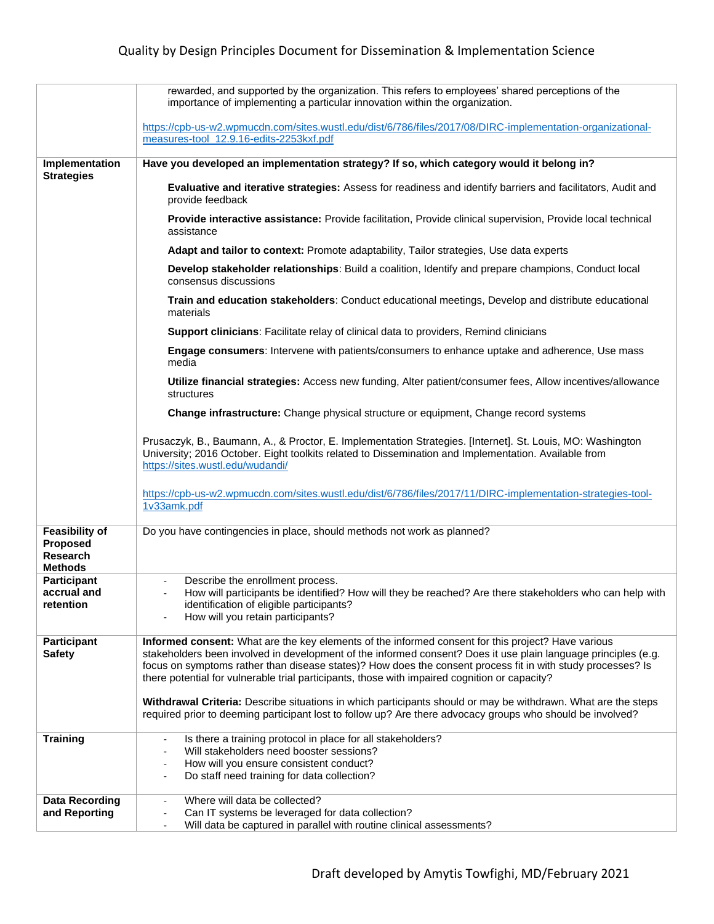|                                                                        | rewarded, and supported by the organization. This refers to employees' shared perceptions of the<br>importance of implementing a particular innovation within the organization.                                                                                                                                                                                                                                                      |
|------------------------------------------------------------------------|--------------------------------------------------------------------------------------------------------------------------------------------------------------------------------------------------------------------------------------------------------------------------------------------------------------------------------------------------------------------------------------------------------------------------------------|
|                                                                        | https://cpb-us-w2.wpmucdn.com/sites.wustl.edu/dist/6/786/files/2017/08/DIRC-implementation-organizational-<br>measures-tool_12.9.16-edits-2253kxf.pdf                                                                                                                                                                                                                                                                                |
| Implementation<br><b>Strategies</b>                                    | Have you developed an implementation strategy? If so, which category would it belong in?                                                                                                                                                                                                                                                                                                                                             |
|                                                                        | Evaluative and iterative strategies: Assess for readiness and identify barriers and facilitators, Audit and<br>provide feedback                                                                                                                                                                                                                                                                                                      |
|                                                                        | Provide interactive assistance: Provide facilitation, Provide clinical supervision, Provide local technical<br>assistance                                                                                                                                                                                                                                                                                                            |
|                                                                        | Adapt and tailor to context: Promote adaptability, Tailor strategies, Use data experts                                                                                                                                                                                                                                                                                                                                               |
|                                                                        | Develop stakeholder relationships: Build a coalition, Identify and prepare champions, Conduct local<br>consensus discussions                                                                                                                                                                                                                                                                                                         |
|                                                                        | Train and education stakeholders: Conduct educational meetings, Develop and distribute educational<br>materials                                                                                                                                                                                                                                                                                                                      |
|                                                                        | Support clinicians: Facilitate relay of clinical data to providers, Remind clinicians                                                                                                                                                                                                                                                                                                                                                |
|                                                                        | Engage consumers: Intervene with patients/consumers to enhance uptake and adherence, Use mass<br>media                                                                                                                                                                                                                                                                                                                               |
|                                                                        | Utilize financial strategies: Access new funding, Alter patient/consumer fees, Allow incentives/allowance<br>structures                                                                                                                                                                                                                                                                                                              |
|                                                                        | Change infrastructure: Change physical structure or equipment, Change record systems                                                                                                                                                                                                                                                                                                                                                 |
|                                                                        | Prusaczyk, B., Baumann, A., & Proctor, E. Implementation Strategies. [Internet]. St. Louis, MO: Washington<br>University; 2016 October. Eight toolkits related to Dissemination and Implementation. Available from<br>https://sites.wustl.edu/wudandi/                                                                                                                                                                               |
|                                                                        | https://cpb-us-w2.wpmucdn.com/sites.wustl.edu/dist/6/786/files/2017/11/DIRC-implementation-strategies-tool-<br>1v33amk.pdf                                                                                                                                                                                                                                                                                                           |
| <b>Feasibility of</b><br><b>Proposed</b><br>Research<br><b>Methods</b> | Do you have contingencies in place, should methods not work as planned?                                                                                                                                                                                                                                                                                                                                                              |
| <b>Participant</b><br>accrual and<br>retention                         | Describe the enrollment process.<br>How will participants be identified? How will they be reached? Are there stakeholders who can help with<br>identification of eligible participants?<br>How will you retain participants?                                                                                                                                                                                                         |
| <b>Participant</b><br><b>Safety</b>                                    | Informed consent: What are the key elements of the informed consent for this project? Have various<br>stakeholders been involved in development of the informed consent? Does it use plain language principles (e.g.<br>focus on symptoms rather than disease states)? How does the consent process fit in with study processes? Is<br>there potential for vulnerable trial participants, those with impaired cognition or capacity? |
|                                                                        | Withdrawal Criteria: Describe situations in which participants should or may be withdrawn. What are the steps<br>required prior to deeming participant lost to follow up? Are there advocacy groups who should be involved?                                                                                                                                                                                                          |
| <b>Training</b>                                                        | Is there a training protocol in place for all stakeholders?<br>$\blacksquare$<br>Will stakeholders need booster sessions?<br>How will you ensure consistent conduct?<br>Do staff need training for data collection?                                                                                                                                                                                                                  |
| <b>Data Recording</b><br>and Reporting                                 | Where will data be collected?<br>$\overline{\phantom{0}}$<br>Can IT systems be leveraged for data collection?<br>Will data be captured in parallel with routine clinical assessments?                                                                                                                                                                                                                                                |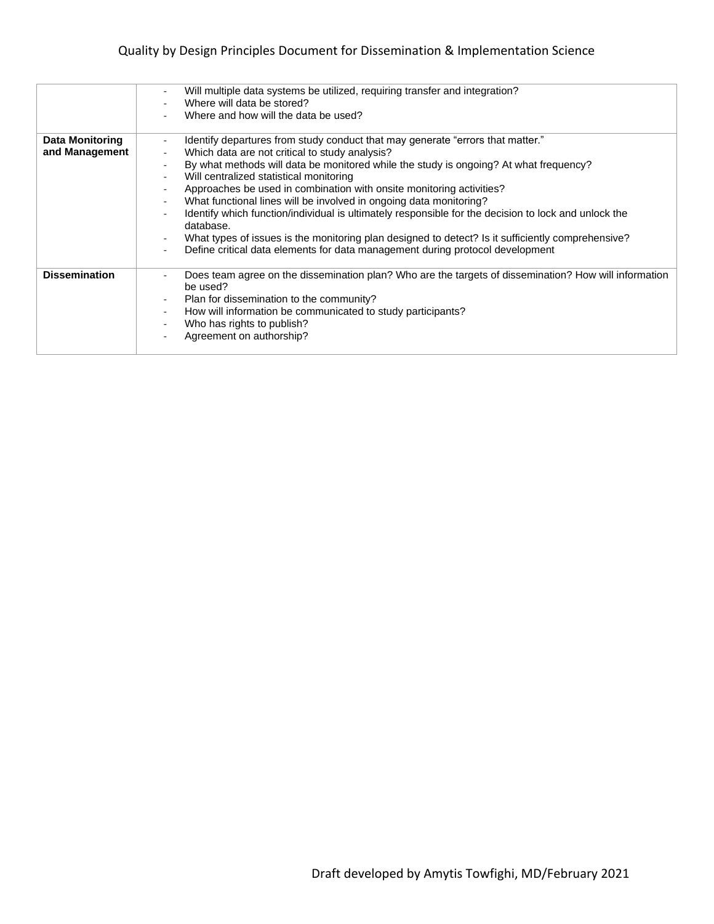### Quality by Design Principles Document for Dissemination & Implementation Science

|                                          | Will multiple data systems be utilized, requiring transfer and integration?<br>$\overline{\phantom{a}}$<br>Where will data be stored?<br>Where and how will the data be used?                                                                                                                                                                                                                                                                                                                                                                                                                                                                                                                                                                   |
|------------------------------------------|-------------------------------------------------------------------------------------------------------------------------------------------------------------------------------------------------------------------------------------------------------------------------------------------------------------------------------------------------------------------------------------------------------------------------------------------------------------------------------------------------------------------------------------------------------------------------------------------------------------------------------------------------------------------------------------------------------------------------------------------------|
| <b>Data Monitoring</b><br>and Management | Identify departures from study conduct that may generate "errors that matter."<br>$\blacksquare$<br>Which data are not critical to study analysis?<br>By what methods will data be monitored while the study is ongoing? At what frequency?<br>Will centralized statistical monitoring<br>Approaches be used in combination with onsite monitoring activities?<br>What functional lines will be involved in ongoing data monitoring?<br>Identify which function/individual is ultimately responsible for the decision to lock and unlock the<br>database.<br>What types of issues is the monitoring plan designed to detect? Is it sufficiently comprehensive?<br>Define critical data elements for data management during protocol development |
| <b>Dissemination</b>                     | Does team agree on the dissemination plan? Who are the targets of dissemination? How will information<br>be used?<br>Plan for dissemination to the community?<br>How will information be communicated to study participants?<br>$\sim$<br>Who has rights to publish?<br>Agreement on authorship?                                                                                                                                                                                                                                                                                                                                                                                                                                                |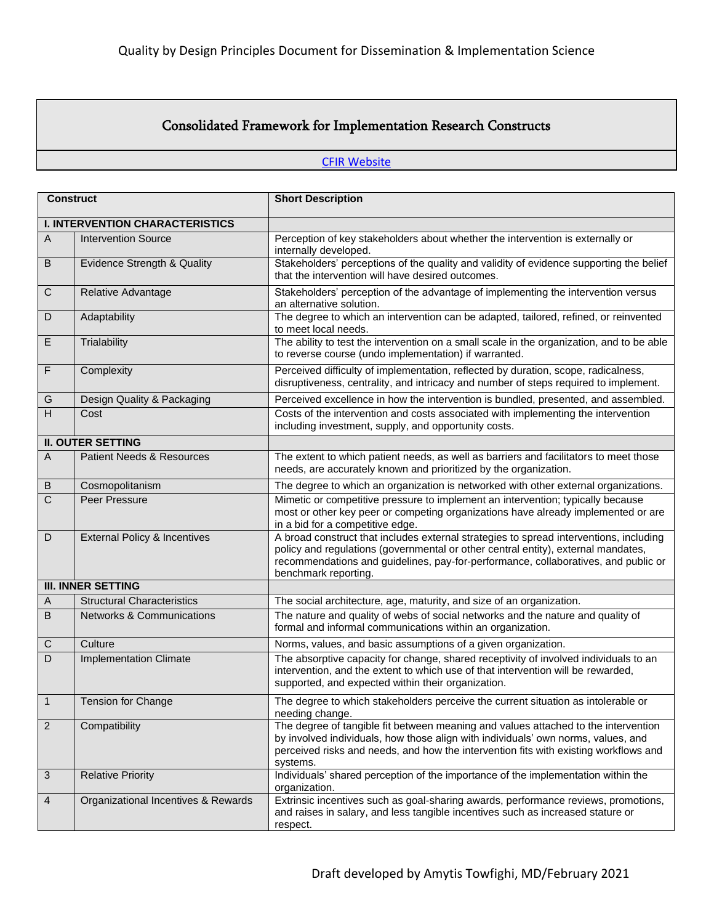## Consolidated Framework for Implementation Research Constructs

### **[CFIR Website](http://cfirguide.org/)**

| <b>Construct</b> |                                         | <b>Short Description</b>                                                                                                                                                                                                                                                                  |  |  |
|------------------|-----------------------------------------|-------------------------------------------------------------------------------------------------------------------------------------------------------------------------------------------------------------------------------------------------------------------------------------------|--|--|
|                  | <b>I. INTERVENTION CHARACTERISTICS</b>  |                                                                                                                                                                                                                                                                                           |  |  |
| $\overline{A}$   | <b>Intervention Source</b>              | Perception of key stakeholders about whether the intervention is externally or<br>internally developed.                                                                                                                                                                                   |  |  |
| B                | Evidence Strength & Quality             | Stakeholders' perceptions of the quality and validity of evidence supporting the belief<br>that the intervention will have desired outcomes.                                                                                                                                              |  |  |
| C                | Relative Advantage                      | Stakeholders' perception of the advantage of implementing the intervention versus<br>an alternative solution.                                                                                                                                                                             |  |  |
| D                | Adaptability                            | The degree to which an intervention can be adapted, tailored, refined, or reinvented<br>to meet local needs.                                                                                                                                                                              |  |  |
| E                | Trialability                            | The ability to test the intervention on a small scale in the organization, and to be able<br>to reverse course (undo implementation) if warranted.                                                                                                                                        |  |  |
| F                | Complexity                              | Perceived difficulty of implementation, reflected by duration, scope, radicalness,<br>disruptiveness, centrality, and intricacy and number of steps required to implement.                                                                                                                |  |  |
| G                | Design Quality & Packaging              | Perceived excellence in how the intervention is bundled, presented, and assembled.                                                                                                                                                                                                        |  |  |
| H                | Cost                                    | Costs of the intervention and costs associated with implementing the intervention<br>including investment, supply, and opportunity costs.                                                                                                                                                 |  |  |
|                  | <b>II. OUTER SETTING</b>                |                                                                                                                                                                                                                                                                                           |  |  |
| $\mathsf{A}$     | <b>Patient Needs &amp; Resources</b>    | The extent to which patient needs, as well as barriers and facilitators to meet those<br>needs, are accurately known and prioritized by the organization.                                                                                                                                 |  |  |
| B                | Cosmopolitanism                         | The degree to which an organization is networked with other external organizations.                                                                                                                                                                                                       |  |  |
| $\overline{C}$   | Peer Pressure                           | Mimetic or competitive pressure to implement an intervention; typically because<br>most or other key peer or competing organizations have already implemented or are<br>in a bid for a competitive edge.                                                                                  |  |  |
| D                | <b>External Policy &amp; Incentives</b> | A broad construct that includes external strategies to spread interventions, including<br>policy and regulations (governmental or other central entity), external mandates,<br>recommendations and guidelines, pay-for-performance, collaboratives, and public or<br>benchmark reporting. |  |  |
|                  | <b>III. INNER SETTING</b>               |                                                                                                                                                                                                                                                                                           |  |  |
| A                | <b>Structural Characteristics</b>       | The social architecture, age, maturity, and size of an organization.                                                                                                                                                                                                                      |  |  |
| B                | <b>Networks &amp; Communications</b>    | The nature and quality of webs of social networks and the nature and quality of<br>formal and informal communications within an organization.                                                                                                                                             |  |  |
| $\mathsf C$      | Culture                                 | Norms, values, and basic assumptions of a given organization.                                                                                                                                                                                                                             |  |  |
| D                | <b>Implementation Climate</b>           | The absorptive capacity for change, shared receptivity of involved individuals to an<br>intervention, and the extent to which use of that intervention will be rewarded,<br>supported, and expected within their organization.                                                            |  |  |
| $\mathbf{1}$     | Tension for Change                      | The degree to which stakeholders perceive the current situation as intolerable or<br>needing change.                                                                                                                                                                                      |  |  |
| $\overline{2}$   | Compatibility                           | The degree of tangible fit between meaning and values attached to the intervention<br>by involved individuals, how those align with individuals' own norms, values, and<br>perceived risks and needs, and how the intervention fits with existing workflows and<br>systems.               |  |  |
| 3                | <b>Relative Priority</b>                | Individuals' shared perception of the importance of the implementation within the<br>organization.                                                                                                                                                                                        |  |  |
| 4                | Organizational Incentives & Rewards     | Extrinsic incentives such as goal-sharing awards, performance reviews, promotions,<br>and raises in salary, and less tangible incentives such as increased stature or<br>respect.                                                                                                         |  |  |